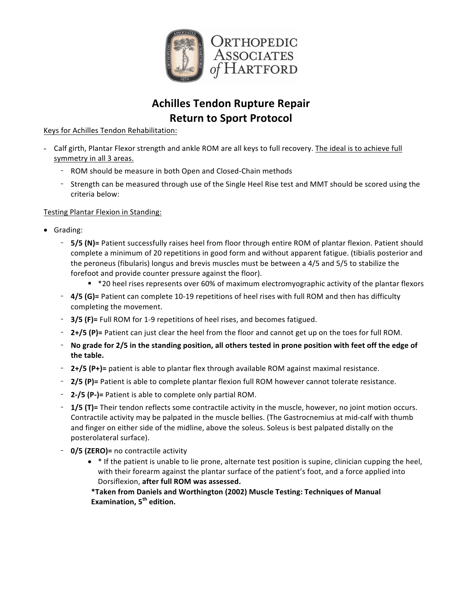

# **Achilles Tendon Rupture Repair Return to Sport Protocol**

Keys for Achilles Tendon Rehabilitation:

- Calf girth, Plantar Flexor strength and ankle ROM are all keys to full recovery. The ideal is to achieve full symmetry in all 3 areas.
	- ROM should be measure in both Open and Closed-Chain methods
	- Strength can be measured through use of the Single Heel Rise test and MMT should be scored using the criteria below:

## Testing Plantar Flexion in Standing:

- Grading:
	- **5/5 (N)**= Patient successfully raises heel from floor through entire ROM of plantar flexion. Patient should complete a minimum of 20 repetitions in good form and without apparent fatigue. (tibialis posterior and the peroneus (fibularis) longus and brevis muscles must be between a 4/5 and 5/5 to stabilize the forefoot and provide counter pressure against the floor).
		- \*20 heel rises represents over 60% of maximum electromyographic activity of the plantar flexors
	- **4/5 (G)**= Patient can complete 10-19 repetitions of heel rises with full ROM and then has difficulty completing the movement.
	- **3/5 (F)**= Full ROM for 1-9 repetitions of heel rises, and becomes fatigued.
	- **2+/5 (P)**= Patient can just clear the heel from the floor and cannot get up on the toes for full ROM.
	- No grade for 2/5 in the standing position, all others tested in prone position with feet off the edge of the table.
	- **2+/5 (P+)**= patient is able to plantar flex through available ROM against maximal resistance.
	- **2/5 (P)**= Patient is able to complete plantar flexion full ROM however cannot tolerate resistance.
	- **2-/5 (P-)**= Patient is able to complete only partial ROM.
	- **1/5 (T)**= Their tendon reflects some contractile activity in the muscle, however, no joint motion occurs. Contractile activity may be palpated in the muscle bellies. (The Gastrocnemius at mid-calf with thumb and finger on either side of the midline, above the soleus. Soleus is best palpated distally on the posterolateral surface).
	- **0/5 (ZERO)**= no contractile activity
		- $\bullet$  \* If the patient is unable to lie prone, alternate test position is supine, clinician cupping the heel, with their forearm against the plantar surface of the patient's foot, and a force applied into Dorsiflexion, after full ROM was assessed.

**\*Taken from Daniels and Worthington (2002) Muscle Testing: Techniques of Manual Examination, 5th edition.**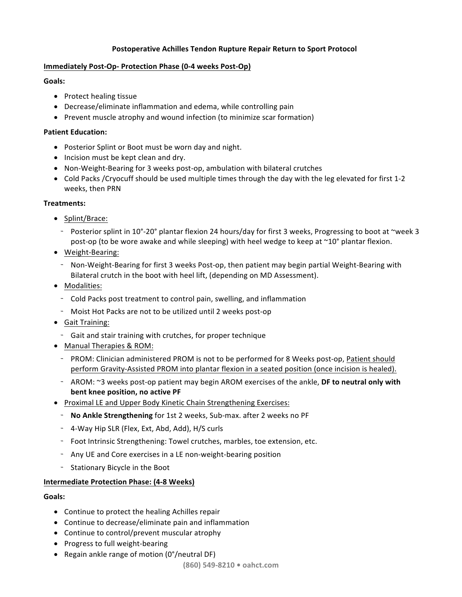## **Postoperative Achilles Tendon Rupture Repair Return to Sport Protocol**

## **Immediately Post-Op- Protection Phase (0-4 weeks Post-Op)**

## **Goals:**

- Protect healing tissue
- Decrease/eliminate inflammation and edema, while controlling pain
- Prevent muscle atrophy and wound infection (to minimize scar formation)

## **Patient Education:**

- Posterior Splint or Boot must be worn day and night.
- Incision must be kept clean and dry.
- Non-Weight-Bearing for 3 weeks post-op, ambulation with bilateral crutches
- Cold Packs / Cryocuff should be used multiple times through the day with the leg elevated for first 1-2 weeks, then PRN

## **Treatments:**

- Splint/Brace:
	- Posterior splint in 10°-20° plantar flexion 24 hours/day for first 3 weeks, Progressing to boot at ~week 3 post-op (to be wore awake and while sleeping) with heel wedge to keep at  $\sim$ 10° plantar flexion.
- Weight-Bearing:
	- Non-Weight-Bearing for first 3 weeks Post-op, then patient may begin partial Weight-Bearing with Bilateral crutch in the boot with heel lift, (depending on MD Assessment).
- Modalities:
	- Cold Packs post treatment to control pain, swelling, and inflammation
	- Moist Hot Packs are not to be utilized until 2 weeks post-op
- Gait Training:
	- Gait and stair training with crutches, for proper technique
- Manual Therapies & ROM:
	- PROM: Clinician administered PROM is not to be performed for 8 Weeks post-op, Patient should perform Gravity-Assisted PROM into plantar flexion in a seated position (once incision is healed).
	- AROM: ~3 weeks post-op patient may begin AROM exercises of the ankle, DF to neutral only with **bent knee position, no active PF**
- Proximal LE and Upper Body Kinetic Chain Strengthening Exercises:
	- **No Ankle Strengthening** for 1st 2 weeks, Sub-max. after 2 weeks no PF
	- 4-Way Hip SLR (Flex, Ext, Abd, Add), H/S curls
	- Foot Intrinsic Strengthening: Towel crutches, marbles, toe extension, etc.
	- Any UE and Core exercises in a LE non-weight-bearing position
	- Stationary Bicycle in the Boot

## **Intermediate Protection Phase: (4-8 Weeks)**

## **Goals:**

- $\bullet$  Continue to protect the healing Achilles repair
- Continue to decrease/eliminate pain and inflammation
- Continue to control/prevent muscular atrophy
- Progress to full weight-bearing
- Regain ankle range of motion  $(0^{\circ}/\text{neutral DF})$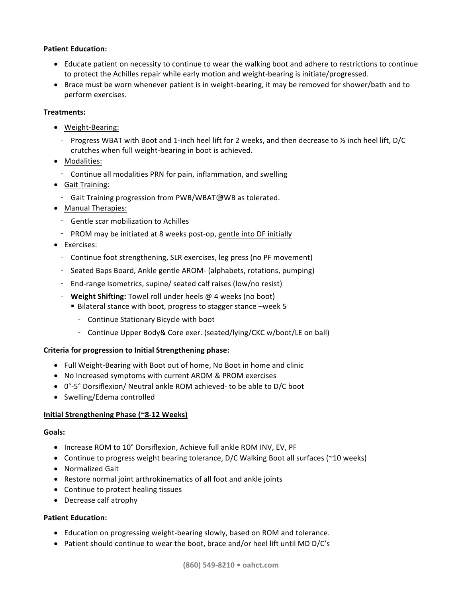#### **Patient Education:**

- Educate patient on necessity to continue to wear the walking boot and adhere to restrictions to continue to protect the Achilles repair while early motion and weight-bearing is initiate/progressed.
- Brace must be worn whenever patient is in weight-bearing, it may be removed for shower/bath and to perform exercises.

#### **Treatments:**

- Weight-Bearing:
- Progress WBAT with Boot and 1-inch heel lift for 2 weeks, and then decrease to  $\frac{1}{2}$  inch heel lift, D/C crutches when full weight-bearing in boot is achieved.
- Modalities:
	- Continue all modalities PRN for pain, inflammation, and swelling
- Gait Training:
	- Gait Training progression from PWB/WBAT FWB as tolerated.
- Manual Therapies:
	- Gentle scar mobilization to Achilles
	- PROM may be initiated at 8 weeks post-op, gentle into DF initially
- Exercises:
	- Continue foot strengthening, SLR exercises, leg press (no PF movement)
	- Seated Baps Board, Ankle gentle AROM- (alphabets, rotations, pumping)
	- End-range Isometrics, supine/ seated calf raises (low/no resist)
	- **Weight Shifting:** Towel roll under heels @ 4 weeks (no boot)
		- Bilateral stance with boot, progress to stagger stance –week 5
			- Continue Stationary Bicycle with boot
			- Continue Upper Body& Core exer. (seated/lying/CKC w/boot/LE on ball)

## **Criteria for progression to Initial Strengthening phase:**

- Full Weight-Bearing with Boot out of home, No Boot in home and clinic
- No Increased symptoms with current AROM & PROM exercises
- 0°-5° Dorsiflexion/ Neutral ankle ROM achieved- to be able to D/C boot
- Swelling/Edema controlled

## **Initial Strengthening Phase (~8-12 Weeks)**

#### **Goals:**

- Increase ROM to 10° Dorsiflexion, Achieve full ankle ROM INV, EV, PF
- Continue to progress weight bearing tolerance,  $D/C$  Walking Boot all surfaces (~10 weeks)
- Normalized Gait
- Restore normal joint arthrokinematics of all foot and ankle joints
- Continue to protect healing tissues
- Decrease calf atrophy

## **Patient Education:**

- Education on progressing weight-bearing slowly, based on ROM and tolerance.
- Patient should continue to wear the boot, brace and/or heel lift until MD D/C's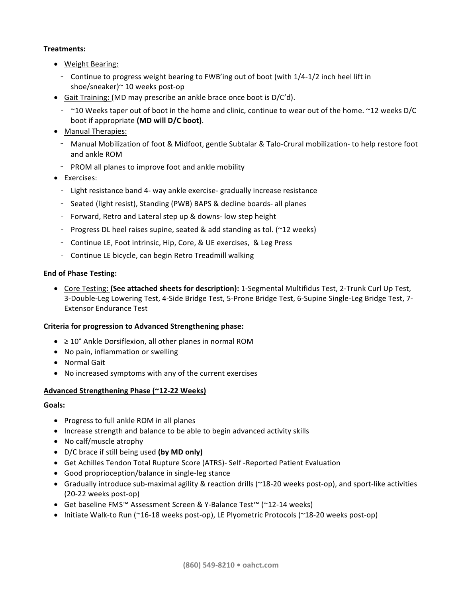## **Treatments:**

- Weight Bearing:
	- Continue to progress weight bearing to FWB'ing out of boot (with 1/4-1/2 inch heel lift in shoe/sneaker)~ 10 weeks post-op
- Gait Training: (MD may prescribe an ankle brace once boot is  $D/C'd$ ).
	- $\sim$  10 Weeks taper out of boot in the home and clinic, continue to wear out of the home.  $\sim$  12 weeks D/C boot if appropriate (MD will D/C boot).
- Manual Therapies:
	- Manual Mobilization of foot & Midfoot, gentle Subtalar & Talo-Crural mobilization- to help restore foot and ankle ROM
	- PROM all planes to improve foot and ankle mobility
- Exercises:
	- Light resistance band 4- way ankle exercise- gradually increase resistance
	- Seated (light resist), Standing (PWB) BAPS & decline boards- all planes
	- Forward, Retro and Lateral step up & downs- low step height
	- Progress DL heel raises supine, seated & add standing as tol. ( $\approx$ 12 weeks)
	- Continue LE, Foot intrinsic, Hip, Core, & UE exercises, & Leg Press
	- Continue LE bicycle, can begin Retro Treadmill walking

#### **End of Phase Testing:**

• Core Testing: (See attached sheets for description): 1-Segmental Multifidus Test, 2-Trunk Curl Up Test, 3-Double-Leg Lowering Test, 4-Side Bridge Test, 5-Prone Bridge Test, 6-Supine Single-Leg Bridge Test, 7-Extensor Endurance Test

#### **Criteria for progression to Advanced Strengthening phase:**

- $\geq$  10° Ankle Dorsiflexion, all other planes in normal ROM
- No pain, inflammation or swelling
- Normal Gait
- No increased symptoms with any of the current exercises

#### **Advanced Strengthening Phase (~12-22 Weeks)**

#### **Goals:**

- Progress to full ankle ROM in all planes
- Increase strength and balance to be able to begin advanced activity skills
- No calf/muscle atrophy
- D/C brace if still being used **(by MD only)**
- Get Achilles Tendon Total Rupture Score (ATRS)- Self -Reported Patient Evaluation
- Good proprioception/balance in single-leg stance
- Gradually introduce sub-maximal agility & reaction drills ( $\gamma$ 18-20 weeks post-op), and sport-like activities (20-22 weeks post-op)
- Get baseline FMS™ Assessment Screen & Y-Balance Test™ (~12-14 weeks)
- Initiate Walk-to Run (~16-18 weeks post-op), LE Plyometric Protocols (~18-20 weeks post-op)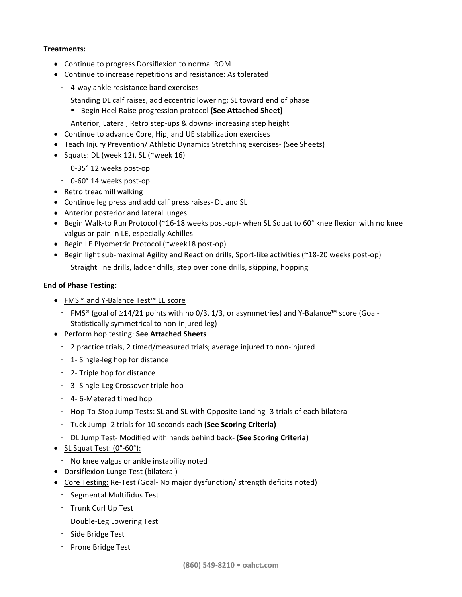#### **Treatments:**

- Continue to progress Dorsiflexion to normal ROM
- Continue to increase repetitions and resistance: As tolerated
	- 4-way ankle resistance band exercises
	- Standing DL calf raises, add eccentric lowering; SL toward end of phase
		- Begin Heel Raise progression protocol (See Attached Sheet)
	- Anterior, Lateral, Retro step-ups & downs- increasing step height
- Continue to advance Core, Hip, and UE stabilization exercises
- Teach Injury Prevention/ Athletic Dynamics Stretching exercises- (See Sheets)
- Squats: DL (week 12), SL (~week 16)
	- 0-35° 12 weeks post-op
	- 0-60° 14 weeks post-op
- Retro treadmill walking
- Continue leg press and add calf press raises- DL and SL
- Anterior posterior and lateral lunges
- Begin Walk-to Run Protocol (~16-18 weeks post-op)- when SL Squat to 60° knee flexion with no knee valgus or pain in LE, especially Achilles
- Begin LE Plyometric Protocol (~week18 post-op)
- Begin light sub-maximal Agility and Reaction drills, Sport-like activities ( $\sim$ 18-20 weeks post-op)
- Straight line drills, ladder drills, step over cone drills, skipping, hopping

#### **End of Phase Testing:**

- FMS<sup>™</sup> and Y-Balance Test<sup>™</sup> LE score
	- $-$  FMS® (goal of ≥14/21 points with no 0/3, 1/3, or asymmetries) and Y-Balance™ score (Goal-Statistically symmetrical to non-injured leg)
- Perform hop testing: **See Attached Sheets**
	- 2 practice trials, 2 timed/measured trials; average injured to non-injured
	- 1- Single-leg hop for distance
	- 2- Triple hop for distance
	- 3- Single-Leg Crossover triple hop
	- 4-6-Metered timed hop
	- Hop-To-Stop Jump Tests: SL and SL with Opposite Landing- 3 trials of each bilateral
	- Tuck Jump- 2 trials for 10 seconds each (See Scoring Criteria)
	- DL Jump Test- Modified with hands behind back- (See Scoring Criteria)
- SL Squat Test:  $(0°-60°)$ :
	- No knee valgus or ankle instability noted
- Dorsiflexion Lunge Test (bilateral)
- Core Testing: Re-Test (Goal- No major dysfunction/ strength deficits noted)
	- Segmental Multifidus Test
	- Trunk Curl Up Test
	- Double-Leg Lowering Test
	- Side Bridge Test
	- Prone Bridge Test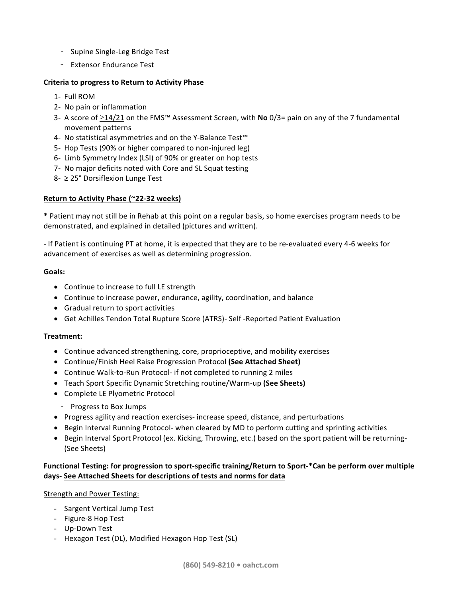- Supine Single-Leg Bridge Test
- Extensor Endurance Test

## **Criteria to progress to Return to Activity Phase**

- 1- Full ROM
- 2- No pain or inflammation
- 3- A score of ≥14/21 on the FMS<sup>™</sup> Assessment Screen, with **No** 0/3= pain on any of the 7 fundamental movement patterns
- 4- No statistical asymmetries and on the Y-Balance Test<sup>™</sup>
- 5- Hop Tests (90% or higher compared to non-injured leg)
- 6- Limb Symmetry Index (LSI) of 90% or greater on hop tests
- 7- No major deficits noted with Core and SL Squat testing
- 8- ≥ 25° Dorsiflexion Lunge Test

## Return to Activity Phase (~22-32 weeks)

\* Patient may not still be in Rehab at this point on a regular basis, so home exercises program needs to be demonstrated, and explained in detailed (pictures and written).

- If Patient is continuing PT at home, it is expected that they are to be re-evaluated every 4-6 weeks for advancement of exercises as well as determining progression.

#### **Goals:**

- Continue to increase to full LE strength
- Continue to increase power, endurance, agility, coordination, and balance
- Gradual return to sport activities
- Get Achilles Tendon Total Rupture Score (ATRS)- Self -Reported Patient Evaluation

## **Treatment:**

- Continue advanced strengthening, core, proprioceptive, and mobility exercises
- Continue/Finish Heel Raise Progression Protocol (See Attached Sheet)
- Continue Walk-to-Run Protocol- if not completed to running 2 miles
- Teach Sport Specific Dynamic Stretching routine/Warm-up (See Sheets)
- Complete LE Plyometric Protocol
	- Progress to Box Jumps
- Progress agility and reaction exercises- increase speed, distance, and perturbations
- Begin Interval Running Protocol- when cleared by MD to perform cutting and sprinting activities
- Begin Interval Sport Protocol (ex. Kicking, Throwing, etc.) based on the sport patient will be returning-(See Sheets)

## Functional Testing: for progression to sport-specific training/Return to Sport-\*Can be perform over multiple **days- See Attached Sheets for descriptions of tests and norms for data**

Strength and Power Testing:

- Sargent Vertical Jump Test
- Figure-8 Hop Test
- Up-Down Test
- Hexagon Test (DL), Modified Hexagon Hop Test (SL)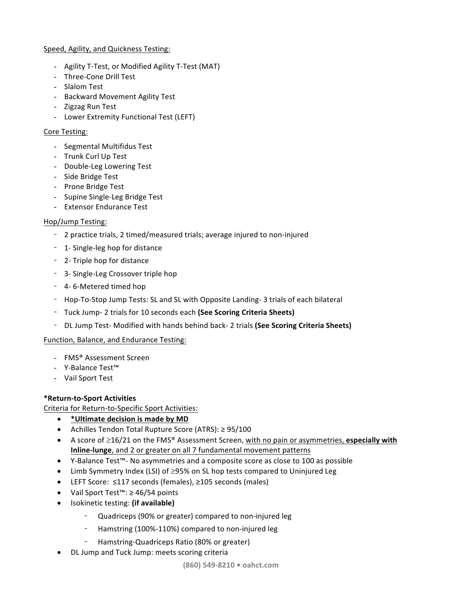## Speed, Agility, and Quickness Testing:

- Agility T-Test, or Modified Agility T-Test (MAT)
- Three-Cone Drill Test
- Slalom Test
- Backward Movement Agility Test
- Zigzag Run Test
- Lower Extremity Functional Test (LEFT)

## Core Testing:

- Segmental Multifidus Test
- Trunk Curl Up Test
- Double-Leg Lowering Test
- Side Bridge Test
- Prone Bridge Test
- Supine Single-Leg Bridge Test
- Extensor Endurance Test

## Hop/Jump Testing:

- 2 practice trials, 2 timed/measured trials; average injured to non-injured
- 1- Single-leg hop for distance
- 2- Triple hop for distance
- 3- Single-Leg Crossover triple hop
- 4-6-Metered timed hop
- Hop-To-Stop Jump Tests: SL and SL with Opposite Landing- 3 trials of each bilateral
- Tuck Jump- 2 trials for 10 seconds each (See Scoring Criteria Sheets)
- DL Jump Test- Modified with hands behind back- 2 trials (See Scoring Criteria Sheets)

## Function, Balance, and Endurance Testing:

- FMS® Assessment Screen
- Y-Balance Test™
- Vail Sport Test

## **\*Return-to-Sport Activities**

Criteria for Return-to-Specific Sport Activities:

- \* Ultimate decision is made by MD
- Achilles Tendon Total Rupture Score (ATRS): ≥ 95/100
- A score of  $\geq$ 16/21 on the FMS<sup>®</sup> Assessment Screen, with no pain or asymmetries, **especially with Inline-lunge**, and 2 or greater on all 7 fundamental movement patterns
- Y-Balance Test<sup>™</sup>- No asymmetries and a composite score as close to 100 as possible
- Limb Symmetry Index (LSI) of  $\geq$ 95% on SL hop tests compared to Uninjured Leg
- LEFT Score: ≤117 seconds (females), ≥105 seconds (males)
- Vail Sport Test™: ≥ 46/54 points
- Isokinetic testing: **(if available)**
	- Quadriceps (90% or greater) compared to non-injured leg
	- Hamstring (100%-110%) compared to non-injured leg
	- Hamstring-Quadriceps Ratio (80% or greater)
- DL Jump and Tuck Jump: meets scoring criteria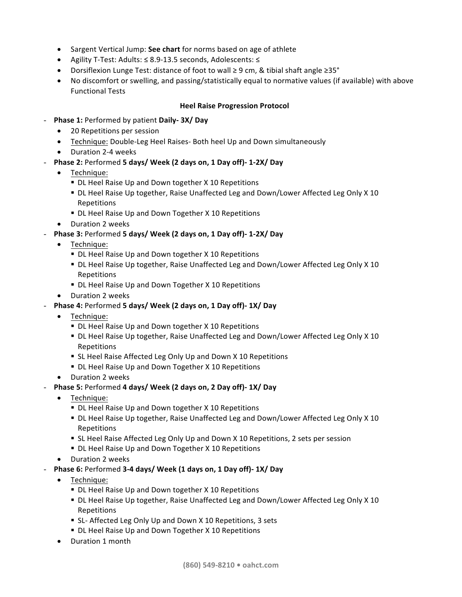- Sargent Vertical Jump: See chart for norms based on age of athlete
- Agility T-Test: Adults: ≤ 8.9-13.5 seconds, Adolescents: ≤
- Dorsiflexion Lunge Test: distance of foot to wall ≥ 9 cm, & tibial shaft angle ≥35°
- No discomfort or swelling, and passing/statistically equal to normative values (if available) with above Functional Tests

#### **Heel Raise Progression Protocol**

- **Phase 1:** Performed by patient **Daily- 3X/ Day**
	- 20 Repetitions per session
	- Technique: Double-Leg Heel Raises- Both heel Up and Down simultaneously
	- Duration 2-4 weeks
- **Phase 2:** Performed 5 days/ Week (2 days on, 1 Day off)-1-2X/ Day
	- Technique:
		- DL Heel Raise Up and Down together X 10 Repetitions
		- DL Heel Raise Up together, Raise Unaffected Leg and Down/Lower Affected Leg Only X 10 Repetitions
		- DL Heel Raise Up and Down Together X 10 Repetitions
	- Duration 2 weeks
- **Phase 3:** Performed **5 days/ Week (2 days on, 1 Day off)- 1-2X/ Day**
	- Technique:
		- DL Heel Raise Up and Down together X 10 Repetitions
		- DL Heel Raise Up together, Raise Unaffected Leg and Down/Lower Affected Leg Only X 10 Repetitions
		- DL Heel Raise Up and Down Together X 10 Repetitions
	- Duration 2 weeks
- **Phase 4:** Performed **5 days/ Week (2 days on, 1 Day off)- 1X/ Day**
	- Technique:
		- DL Heel Raise Up and Down together X 10 Repetitions
		- DL Heel Raise Up together, Raise Unaffected Leg and Down/Lower Affected Leg Only X 10 Repetitions
		- SL Heel Raise Affected Leg Only Up and Down X 10 Repetitions
		- DL Heel Raise Up and Down Together X 10 Repetitions
	- Duration 2 weeks
- **Phase 5:** Performed **4 days/ Week (2 days on, 2 Day off)- 1X/ Day**
	- Technique:
		- DL Heel Raise Up and Down together X 10 Repetitions
		- DL Heel Raise Up together, Raise Unaffected Leg and Down/Lower Affected Leg Only X 10 Repetitions
		- SL Heel Raise Affected Leg Only Up and Down X 10 Repetitions, 2 sets per session
		- DL Heel Raise Up and Down Together X 10 Repetitions
	- Duration 2 weeks
- **Phase 6:** Performed 3-4 days/ Week (1 days on, 1 Day off)-1X/ Day
	- Technique:
		- DL Heel Raise Up and Down together X 10 Repetitions
		- DL Heel Raise Up together, Raise Unaffected Leg and Down/Lower Affected Leg Only X 10 Repetitions
		- SL- Affected Leg Only Up and Down X 10 Repetitions, 3 sets
		- DL Heel Raise Up and Down Together X 10 Repetitions
	- Duration 1 month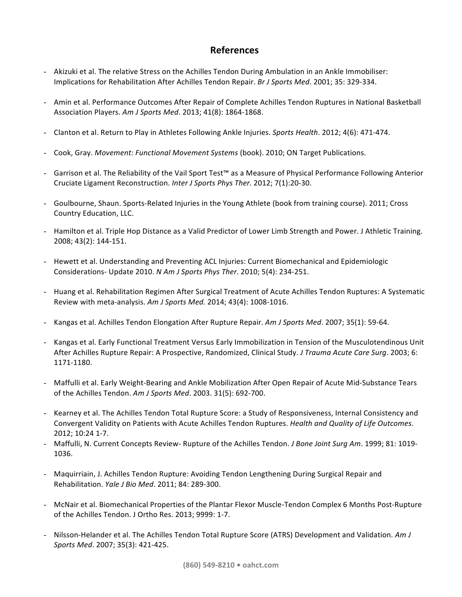## **References**

- Akizuki et al. The relative Stress on the Achilles Tendon During Ambulation in an Ankle Immobiliser: Implications for Rehabilitation After Achilles Tendon Repair. *Br J Sports Med*. 2001; 35: 329-334.
- Amin et al. Performance Outcomes After Repair of Complete Achilles Tendon Ruptures in National Basketball Association Players. Am J Sports Med. 2013; 41(8): 1864-1868.
- Clanton et al. Return to Play in Athletes Following Ankle Injuries. Sports Health. 2012; 4(6): 471-474.
- Cook, Gray. Movement: Functional Movement Systems (book). 2010; ON Target Publications.
- Garrison et al. The Reliability of the Vail Sport Test™ as a Measure of Physical Performance Following Anterior Cruciate Ligament Reconstruction. Inter J Sports Phys Ther. 2012; 7(1):20-30.
- Goulbourne, Shaun. Sports-Related Injuries in the Young Athlete (book from training course). 2011; Cross Country Education, LLC.
- Hamilton et al. Triple Hop Distance as a Valid Predictor of Lower Limb Strength and Power. J Athletic Training. 2008; 43(2): 144-151.
- Hewett et al. Understanding and Preventing ACL Injuries: Current Biomechanical and Epidemiologic Considerations- Update 2010. *N Am J Sports Phys Ther.* 2010; 5(4): 234-251.
- Huang et al. Rehabilitation Regimen After Surgical Treatment of Acute Achilles Tendon Ruptures: A Systematic Review with meta-analysis. Am J Sports Med. 2014; 43(4): 1008-1016.
- Kangas et al. Achilles Tendon Elongation After Rupture Repair. Am J Sports Med. 2007; 35(1): 59-64.
- Kangas et al. Early Functional Treatment Versus Early Immobilization in Tension of the Musculotendinous Unit After Achilles Rupture Repair: A Prospective, Randomized, Clinical Study. *J Trauma Acute Care Surg*. 2003; 6: 1171-1180.
- Maffulli et al. Early Weight-Bearing and Ankle Mobilization After Open Repair of Acute Mid-Substance Tears of the Achilles Tendon. Am J Sports Med. 2003. 31(5): 692-700.
- Kearney et al. The Achilles Tendon Total Rupture Score: a Study of Responsiveness, Internal Consistency and Convergent Validity on Patients with Acute Achilles Tendon Ruptures. *Health and Quality of Life Outcomes*. 2012; 10:24 1-7.
- Maffulli, N. Current Concepts Review- Rupture of the Achilles Tendon. *J Bone Joint Surg Am*. 1999; 81: 1019-1036.
- Maquirriain, J. Achilles Tendon Rupture: Avoiding Tendon Lengthening During Surgical Repair and Rehabilitation. *Yale J Bio Med*. 2011; 84: 289-300.
- McNair et al. Biomechanical Properties of the Plantar Flexor Muscle-Tendon Complex 6 Months Post-Rupture of the Achilles Tendon. J Ortho Res. 2013; 9999: 1-7.
- Nilsson-Helander et al. The Achilles Tendon Total Rupture Score (ATRS) Development and Validation. Am J *Sports Med*. 2007; 35(3): 421-425.